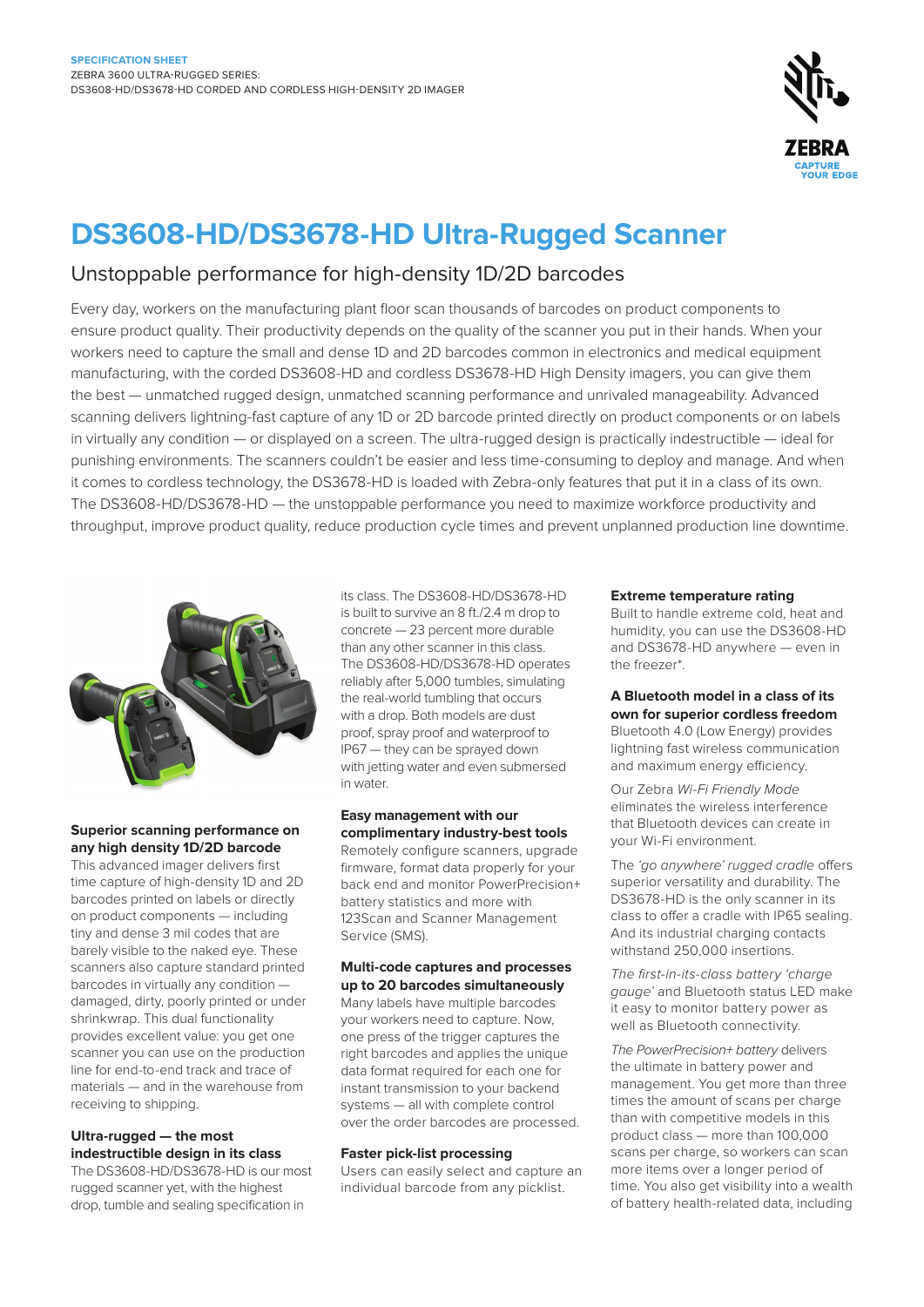

## **DS3608-HD/DS3678-HD Ultra-Rugged Scanner**

## Unstoppable performance for high-density 1D/2D barcodes

Every day, workers on the manufacturing plant floor scan thousands of barcodes on product components to ensure product quality. Their productivity depends on the quality of the scanner you put in their hands. When your workers need to capture the small and dense 1D and 2D barcodes common in electronics and medical equipment manufacturing, with the corded DS3608-HD and cordless DS3678-HD High Density imagers, you can give them the best — unmatched rugged design, unmatched scanning performance and unrivaled manageability. Advanced scanning delivers lightning-fast capture of any 1D or 2D barcode printed directly on product components or on labels in virtually any condition — or displayed on a screen. The ultra-rugged design is practically indestructible — ideal for punishing environments. The scanners couldn't be easier and less time-consuming to deploy and manage. And when it comes to cordless technology, the DS3678-HD is loaded with Zebra-only features that put it in a class of its own. The DS3608-HD/DS3678-HD — the unstoppable performance you need to maximize workforce productivity and throughput, improve product quality, reduce production cycle times and prevent unplanned production line downtime.



## **Superior scanning performance on any high density 1D/2D barcode**

This advanced imager delivers first time capture of high-density 1D and 2D barcodes printed on labels or directly on product components — including tiny and dense 3 mil codes that are barely visible to the naked eye. These scanners also capture standard printed barcodes in virtually any condition damaged, dirty, poorly printed or under shrinkwrap. This dual functionality provides excellent value: you get one scanner you can use on the production line for end-to-end track and trace of materials — and in the warehouse from receiving to shipping.

### **Ultra-rugged — the most indestructible design in its class**

The DS3608-HD/DS3678-HD is our most rugged scanner yet, with the highest drop, tumble and sealing specification in

its class. The DS3608-HD/DS3678-HD is built to survive an 8 ft./2.4 m drop to concrete — 23 percent more durable than any other scanner in this class. The DS3608-HD/DS3678-HD operates reliably after 5,000 tumbles, simulating the real-world tumbling that occurs with a drop. Both models are dust proof, spray proof and waterproof to IP67 — they can be sprayed down with jetting water and even submersed in water.

#### **Easy management with our complimentary industry-best tools**

Remotely configure scanners, upgrade firmware, format data properly for your back end and monitor PowerPrecision+ battery statistics and more with 123Scan and Scanner Management Service (SMS).

#### **Multi-code captures and processes up to 20 barcodes simultaneously**

Many labels have multiple barcodes your workers need to capture. Now, one press of the trigger captures the right barcodes and applies the unique data format required for each one for instant transmission to your backend systems — all with complete control over the order barcodes are processed.

### **Faster pick-list processing**

Users can easily select and capture an individual barcode from any picklist.

#### **Extreme temperature rating**

Built to handle extreme cold, heat and humidity, you can use the DS3608-HD and DS3678-HD anywhere — even in the freezer\*.

## **A Bluetooth model in a class of its own for superior cordless freedom**

Bluetooth 4.0 (Low Energy) provides lightning fast wireless communication and maximum energy efficiency.

Our Zebra Wi-Fi Friendly Mode eliminates the wireless interference that Bluetooth devices can create in your Wi-Fi environment.

The 'go anywhere' rugged cradle offers superior versatility and durability. The DS3678-HD is the only scanner in its class to offer a cradle with IP65 sealing. And its industrial charging contacts withstand 250,000 insertions.

The first-in-its-class battery 'charge gauge' and Bluetooth status LED make it easy to monitor battery power as well as Bluetooth connectivity.

The PowerPrecision+ battery delivers the ultimate in battery power and management. You get more than three times the amount of scans per charge than with competitive models in this product class — more than 100,000 scans per charge, so workers can scan more items over a longer period of time. You also get visibility into a wealth of battery health-related data, including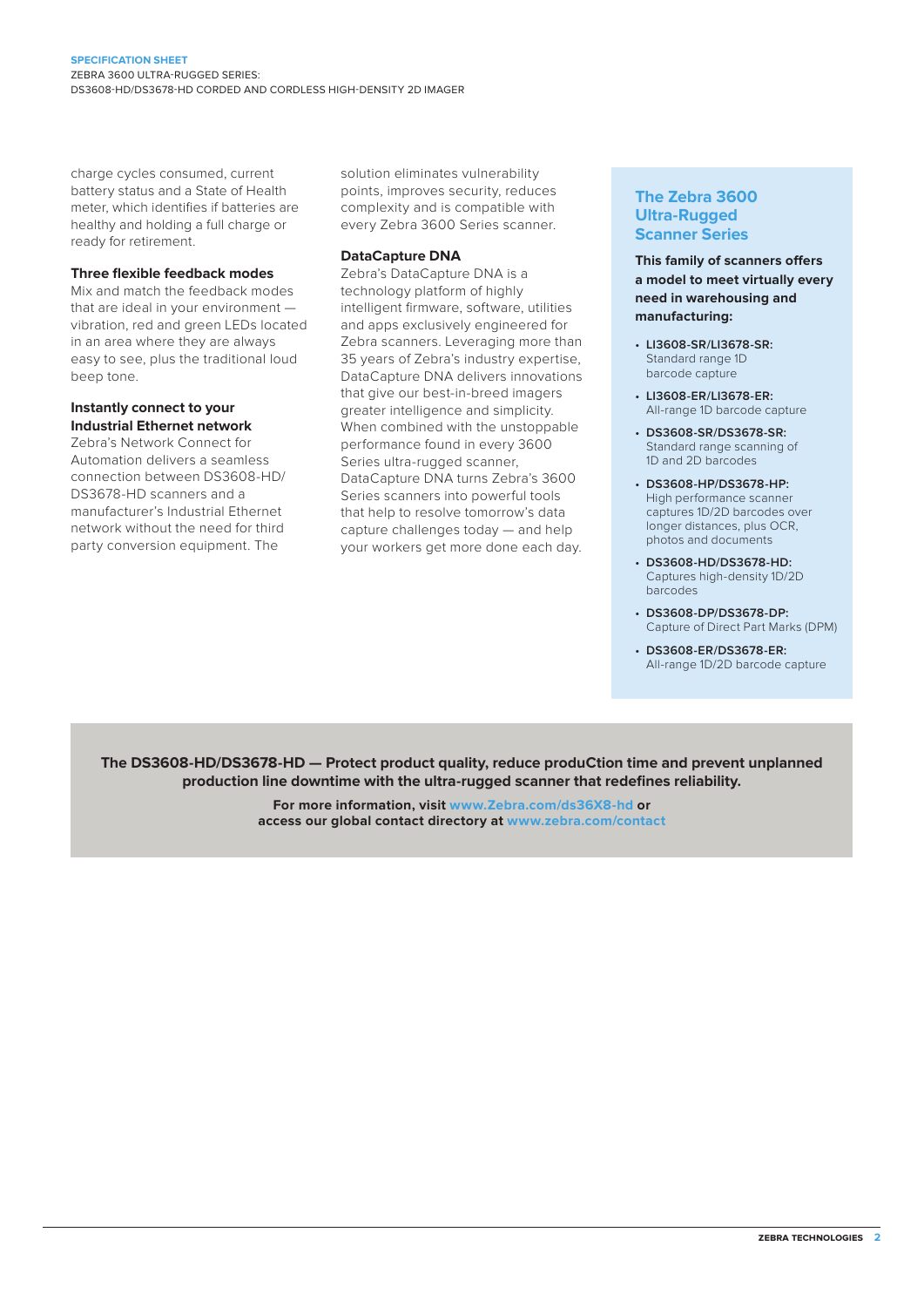charge cycles consumed, current battery status and a State of Health meter, which identifies if batteries are healthy and holding a full charge or ready for retirement.

#### **Three flexible feedback modes**

Mix and match the feedback modes that are ideal in your environment vibration, red and green LEDs located in an area where they are always easy to see, plus the traditional loud beep tone.

#### **Instantly connect to your Industrial Ethernet network**

Zebra's Network Connect for Automation delivers a seamless connection between DS3608-HD/ DS3678-HD scanners and a manufacturer's Industrial Ethernet network without the need for third party conversion equipment. The

solution eliminates vulnerability points, improves security, reduces complexity and is compatible with every Zebra 3600 Series scanner.

#### **DataCapture DNA**

Zebra's DataCapture DNA is a technology platform of highly intelligent firmware, software, utilities and apps exclusively engineered for Zebra scanners. Leveraging more than 35 years of Zebra's industry expertise, DataCapture DNA delivers innovations that give our best-in-breed imagers greater intelligence and simplicity. When combined with the unstoppable performance found in every 3600 Series ultra-rugged scanner, DataCapture DNA turns Zebra's 3600 Series scanners into powerful tools that help to resolve tomorrow's data capture challenges today — and help your workers get more done each day.

### **The Zebra 3600 Ultra-Rugged Scanner Series**

**This family of scanners offers a model to meet virtually every need in warehousing and manufacturing:**

- **• LI3608-SR/LI3678-SR:** Standard range 1D barcode capture
- **• LI3608-ER/LI3678-ER:** All-range 1D barcode capture
- **• DS3608-SR/DS3678-SR:** Standard range scanning of 1D and 2D barcodes
- **• DS3608-HP/DS3678-HP:** High performance scanner captures 1D/2D barcodes over longer distances, plus OCR, photos and documents
- **• DS3608-HD/DS3678-HD:** Captures high-density 1D/2D barcodes
- **• DS3608-DP/DS3678-DP:**  Capture of Direct Part Marks (DPM)
- **• DS3608-ER/DS3678-ER:** All-range 1D/2D barcode capture

**The DS3608-HD/DS3678-HD — Protect product quality, reduce produCtion time and prevent unplanned production line downtime with the ultra-rugged scanner that redefines reliability.**

> **For more information, visit [www.Zebra.com/ds36X8-hd](http://www.zebra.com/ds36X8-hd) or access our global contact directory at [www.zebra.com/contact](http://www.zebra.com/contact)**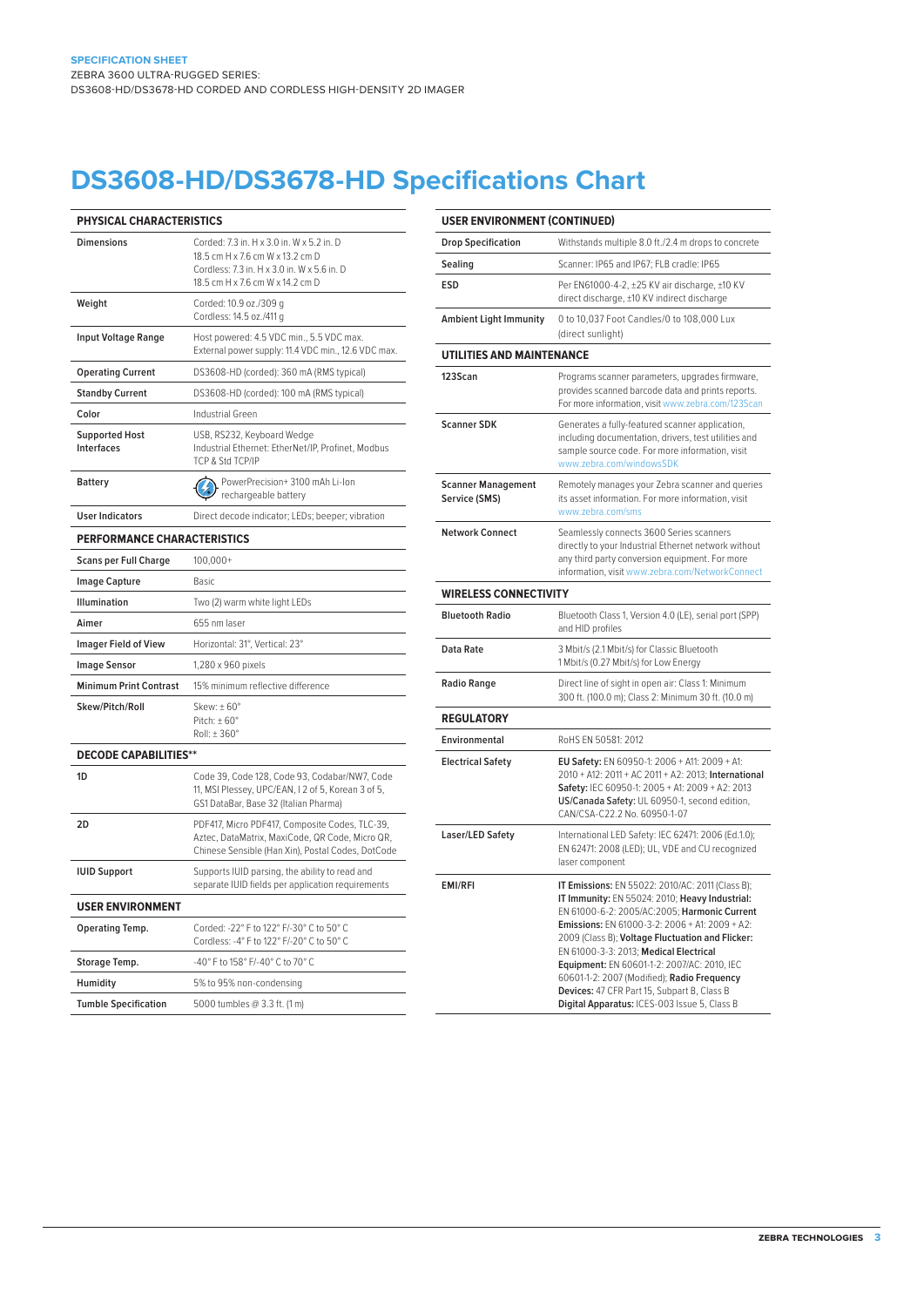# **DS3608-HD/DS3678-HD Specifications Chart**

| PHYSICAL CHARACTERISTICS            |                                                                                                                                                                  |  |
|-------------------------------------|------------------------------------------------------------------------------------------------------------------------------------------------------------------|--|
| <b>Dimensions</b>                   | Corded: 7.3 in. H x 3.0 in. W x 5.2 in. D<br>18.5 cm H x 7.6 cm W x 13.2 cm D<br>Cordless: 7.3 in. H x 3.0 in. W x 5.6 in. D<br>18.5 cm H x 7.6 cm W x 14.2 cm D |  |
| Weight                              | Corded: 10.9 oz./309 g<br>Cordless: 14.5 oz./411 g                                                                                                               |  |
| Input Voltage Range                 | Host powered: 4.5 VDC min., 5.5 VDC max.<br>External power supply: 11.4 VDC min., 12.6 VDC max.                                                                  |  |
| <b>Operating Current</b>            | DS3608-HD (corded): 360 mA (RMS typical)                                                                                                                         |  |
| <b>Standby Current</b>              | DS3608-HD (corded): 100 mA (RMS typical)                                                                                                                         |  |
| Color                               | Industrial Green                                                                                                                                                 |  |
| <b>Supported Host</b><br>Interfaces | USB, RS232, Keyboard Wedge<br>Industrial Ethernet: EtherNet/IP, Profinet, Modbus<br>TCP & Std TCP/IP                                                             |  |
| <b>Battery</b>                      | PowerPrecision+ 3100 mAh Li-lon<br>rechargeable battery                                                                                                          |  |
| <b>User Indicators</b>              | Direct decode indicator; LEDs; beeper; vibration                                                                                                                 |  |
| <b>PERFORMANCE CHARACTERISTICS</b>  |                                                                                                                                                                  |  |
| <b>Scans per Full Charge</b>        | $100,000+$                                                                                                                                                       |  |
| <b>Image Capture</b>                | <b>Basic</b>                                                                                                                                                     |  |
| <b>Illumination</b>                 | Two (2) warm white light LEDs                                                                                                                                    |  |
| Aimer                               | 655 nm laser                                                                                                                                                     |  |
| <b>Imager Field of View</b>         | Horizontal: 31°, Vertical: 23°                                                                                                                                   |  |
| <b>Image Sensor</b>                 | 1,280 x 960 pixels                                                                                                                                               |  |
| <b>Minimum Print Contrast</b>       | 15% minimum reflective difference                                                                                                                                |  |
| Skew/Pitch/Roll                     | Skew: $\pm 60^\circ$<br>Pitch: $\pm 60^\circ$<br>Roll: ±360°                                                                                                     |  |
| <b>DECODE CAPABILITIES**</b>        |                                                                                                                                                                  |  |
| 1D                                  | Code 39, Code 128, Code 93, Codabar/NW7, Code<br>11, MSI Plessey, UPC/EAN, I 2 of 5, Korean 3 of 5,<br>GS1 DataBar, Base 32 (Italian Pharma)                     |  |
| 2D                                  | PDF417, Micro PDF417, Composite Codes, TLC-39,<br>Aztec, DataMatrix, MaxiCode, QR Code, Micro QR,<br>Chinese Sensible (Han Xin), Postal Codes, DotCode           |  |
| <b>IUID Support</b>                 | Supports IUID parsing, the ability to read and<br>separate IUID fields per application requirements                                                              |  |

| <b>USER ENVIRONMENT</b>     |                                                                                       |
|-----------------------------|---------------------------------------------------------------------------------------|
| Operating Temp.             | Corded: -22° F to 122° F/-30° C to 50° C<br>Cordless: -4° F to 122° F/-20° C to 50° C |
| Storage Temp.               | -40° F to 158° F/-40° C to 70° C                                                      |
| Humidity                    | 5% to 95% non-condensing                                                              |
| <b>Tumble Specification</b> | 5000 tumbles @ 3.3 ft. (1 m)                                                          |
|                             |                                                                                       |

| <b>USER ENVIRONMENT (CONTINUED)</b>        |                                                                                                                                                                                                                                                                                                                                                                                                                                                                                                 |
|--------------------------------------------|-------------------------------------------------------------------------------------------------------------------------------------------------------------------------------------------------------------------------------------------------------------------------------------------------------------------------------------------------------------------------------------------------------------------------------------------------------------------------------------------------|
| <b>Drop Specification</b>                  | Withstands multiple 8.0 ft./2.4 m drops to concrete                                                                                                                                                                                                                                                                                                                                                                                                                                             |
| Sealing                                    | Scanner: IP65 and IP67; FLB cradle: IP65                                                                                                                                                                                                                                                                                                                                                                                                                                                        |
| <b>ESD</b>                                 | Per EN61000-4-2, ±25 KV air discharge, ±10 KV<br>direct discharge, ±10 KV indirect discharge                                                                                                                                                                                                                                                                                                                                                                                                    |
| <b>Ambient Light Immunity</b>              | 0 to 10,037 Foot Candles/0 to 108,000 Lux<br>(direct sunlight)                                                                                                                                                                                                                                                                                                                                                                                                                                  |
| <b>UTILITIES AND MAINTENANCE</b>           |                                                                                                                                                                                                                                                                                                                                                                                                                                                                                                 |
| 123Scan                                    | Programs scanner parameters, upgrades firmware,<br>provides scanned barcode data and prints reports.<br>For more information, visit www.zebra.com/123Scan                                                                                                                                                                                                                                                                                                                                       |
| <b>Scanner SDK</b>                         | Generates a fully-featured scanner application,<br>including documentation, drivers, test utilities and<br>sample source code. For more information, visit<br>www.zebra.com/windowsSDK                                                                                                                                                                                                                                                                                                          |
| <b>Scanner Management</b><br>Service (SMS) | Remotely manages your Zebra scanner and queries<br>its asset information. For more information, visit<br>www.zebra.com/sms                                                                                                                                                                                                                                                                                                                                                                      |
| <b>Network Connect</b>                     | Seamlessly connects 3600 Series scanners<br>directly to your Industrial Ethernet network without<br>any third party conversion equipment. For more<br>information, visit www.zebra.com/NetworkConnect                                                                                                                                                                                                                                                                                           |
| <b>WIRELESS CONNECTIVITY</b>               |                                                                                                                                                                                                                                                                                                                                                                                                                                                                                                 |
| <b>Bluetooth Radio</b>                     | Bluetooth Class 1, Version 4.0 (LE), serial port (SPP)<br>and HID profiles                                                                                                                                                                                                                                                                                                                                                                                                                      |
| Data Rate                                  | 3 Mbit/s (2.1 Mbit/s) for Classic Bluetooth<br>1 Mbit/s (0.27 Mbit/s) for Low Energy                                                                                                                                                                                                                                                                                                                                                                                                            |
| <b>Radio Range</b>                         | Direct line of sight in open air: Class 1: Minimum<br>300 ft. (100.0 m); Class 2: Minimum 30 ft. (10.0 m)                                                                                                                                                                                                                                                                                                                                                                                       |
| <b>REGULATORY</b>                          |                                                                                                                                                                                                                                                                                                                                                                                                                                                                                                 |
| Environmental                              | RoHS EN 50581: 2012                                                                                                                                                                                                                                                                                                                                                                                                                                                                             |
| <b>Electrical Safety</b>                   | EU Safety: EN 60950-1: 2006 + A11: 2009 + A1:<br>2010 + A12: 2011 + AC 2011 + A2: 2013; International<br>Safety: IEC 60950-1: 2005 + A1: 2009 + A2: 2013<br>US/Canada Safety: UL 60950-1, second edition,<br>CAN/CSA-C22.2 No. 60950-1-07                                                                                                                                                                                                                                                       |
| Laser/LED Safety                           | International LED Safety: IEC 62471: 2006 (Ed.1.0);<br>EN 62471: 2008 (LED); UL, VDE and CU recognized<br>laser component                                                                                                                                                                                                                                                                                                                                                                       |
| <b>EMI/RFI</b>                             | IT Emissions: EN 55022: 2010/AC: 2011 (Class B);<br>IT Immunity: EN 55024: 2010; Heavy Industrial:<br>EN 61000-6-2: 2005/AC:2005; Harmonic Current<br>Emissions: EN 61000-3-2: 2006 + A1: 2009 + A2:<br>2009 (Class B); Voltage Fluctuation and Flicker:<br>EN 61000-3-3: 2013; Medical Electrical<br>Equipment: EN 60601-1-2: 2007/AC: 2010, IEC<br>60601-1-2: 2007 (Modified); Radio Frequency<br>Devices: 47 CFR Part 15, Subpart B, Class B<br>Digital Apparatus: ICES-003 Issue 5, Class B |